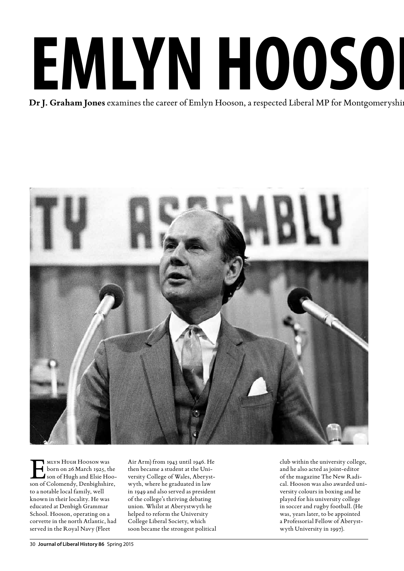## EMLYN HOOSOI

### **Dr J. Graham Jones** examines the career of Emlyn Hooson, a respected Liberal MP for Montgomeryshire



MLYN HUGH HOOSON Was<br>
born on 26 March 1925, the<br>
son of Colomendy Denbighshire born on 26 March 1925, the son of Colomendy, Denbighshire, to a notable local family, well known in their locality. He was educated at Denbigh Grammar School. Hooson, operating on a corvette in the north Atlantic, had served in the Royal Navy (Fleet

Air Arm) from 1943 until 1946. He then became a student at the University College of Wales, Aberystwyth, where he graduated in law in 1949 and also served as president of the college's thriving debating union. Whilst at Aberystwyth he helped to reform the University College Liberal Society, which soon became the strongest political club within the university college, and he also acted as joint-editor of the magazine The New Radical. Hooson was also awarded university colours in boxing and he played for his university college in soccer and rugby football. (He was, years later, to be appointed a Professorial Fellow of Aberystwyth University in 1997).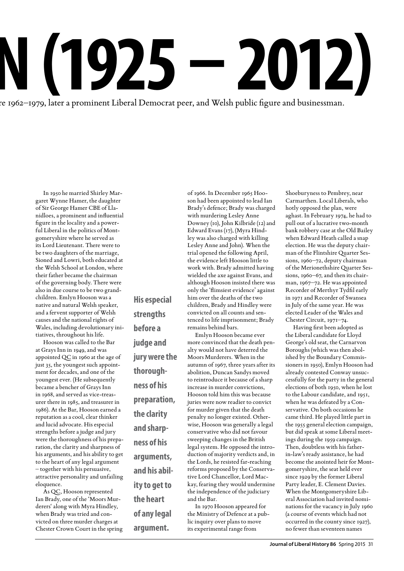re 1962–1979, later a prominent Liberal Democrat peer, and Welsh public figure and businessman.

**His especial** 

**strengths** 

**before a** 

**judge and** 

**thorough-**

**ness of his** 

**the clarity** 

**and sharpness of his** 

**arguments, and his abil-**

**ity to get to** 

**of any legal** 

**argument.**

**the heart** 

**preparation,** 

**jury were the** 

In 1950 he married Shirley Margaret Wynne Hamer, the daughter of Sir George Hamer CBE of Llanidloes, a prominent and influential figure in the locality and a powerful Liberal in the politics of Montgomeryshire where he served as its Lord Lieutenant. There were to be two daughters of the marriage, Sioned and Lowri, both educated at the Welsh School at London, where their father became the chairman of the governing body. There were also in due course to be two grandchildren. Emlyn Hooson was a native and natural Welsh speaker, and a fervent supporter of Welsh causes and the national rights of Wales, including devolutionary initiatives, throughout his life.

Hooson was called to the Bar at Grays Inn in 1949, and was appointed QC in 1960 at the age of just 35, the youngest such appointment for decades, and one of the youngest ever. (He subsequently became a bencher of Grays Inn in 1968, and served as vice-treasurer there in 1985, and treasurer in 1986). At the Bar, Hooson earned a reputation as a cool, clear thinker and lucid advocate. His especial strengths before a judge and jury were the thoroughness of his preparation, the clarity and sharpness of his arguments, and his ability to get to the heart of any legal argument – together with his persuasive, attractive personality and unfailing eloquence.

As QC, Hooson represented Ian Brady, one of the 'Moors Murderers' along with Myra Hindley, when Brady was tried and convicted on three murder charges at Chester Crown Court in the spring son had been appointed to lead Ian Brady's defence; Brady was charged with murdering Lesley Anne Downey (10), John Kilbride (12) and Edward Evans (17), (Myra Hindley was also charged with killing Lesley Anne and John). When the trial opened the following April, the evidence left Hooson little to work with. Brady admitted having wielded the axe against Evans, and although Hooson insisted there was only the 'flimsiest evidence' against him over the deaths of the two children, Brady and Hindley were convicted on all counts and sentenced to life imprisonment; Brady remains behind bars. Emlyn Hooson became ever

of 1966. In December 1965 Hoo-

more convinced that the death penalty would not have deterred the Moors Murderers. When in the autumn of 1967, three years after its abolition, Duncan Sandys moved to reintroduce it because of a sharp increase in murder convictions, Hooson told him this was because juries were now readier to convict for murder given that the death penalty no longer existed. Otherwise, Hooson was generally a legal conservative who did not favour sweeping changes in the British legal system. He opposed the introduction of majority verdicts and, in the Lords, he resisted far-reaching reforms proposed by the Conservative Lord Chancellor, Lord Mackay, fearing they would undermine the independence of the judiciary and the Bar.

In 1970 Hooson appeared for the Ministry of Defence at a public inquiry over plans to move its experimental range from

Shoeburyness to Pembrey, near Carmarthen. Local Liberals, who hotly opposed the plan, were aghast. In February 1974, he had to pull out of a lucrative two-month bank robbery case at the Old Bailey when Edward Heath called a snap election. He was the deputy chairman of the Flintshire Quarter Sessions, 1960–72, deputy chairman of the Merionethshire Quarter Sessions, 1960–67, and then its chairman, 1967–72. He was appointed Recorder of Merthyr Tydfil early in 1971 and Recorder of Swansea in July of the same year. He was elected Leader of the Wales and Chester Circuit, 1971–74.

Having first been adopted as the Liberal candidate for Lloyd George's old seat, the Carnarvon Boroughs (which was then abolished by the Boundary Commissioners in 1950), Emlyn Hooson had already contested Conway unsuccessfully for the party in the general elections of both 1950, when he lost to the Labour candidate, and 1951, when he was defeated by a Conservative. On both occasions he came third. He played little part in the 1955 general election campaign, but did speak at some Liberal meetings during the 1959 campaign. Then, doubtless with his fatherin-law's ready assistance, he had become the anointed heir for Montgomeryshire, the seat held ever since 1929 by the former Liberal Party leader, E. Clement Davies. When the Montgomeryshire Liberal Association had invited nominations for the vacancy in July 1960 (a course of events which had not occurred in the county since 1927), no fewer than seventeen names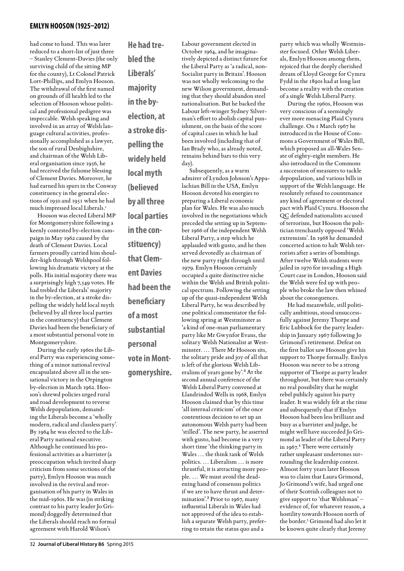had come to hand. This was later reduced to a short-list of just three – Stanley Clement-Davies (the only surviving child of the sitting MP for the county), Lt Colonel Patrick Lort-Phillips, and Emlyn Hooson. The withdrawal of the first named on grounds of ill health led to the selection of Hooson whose political and professional pedigree was impeccable. Welsh speaking and involved in an array of Welsh language cultural activities, professionally accomplished as a lawyer, the son of rural Denbighshire, and chairman of the Welsh Liberal organisation since 1956, he had received the fulsome blessing of Clement Davies. Moreover, he had earned his spurs in the Conway constituency in the general elections of 1950 and 1951 when he had much impressed local Liberals.<sup>1</sup>

Hooson was elected Liberal MP for Montgomeryshire following a keenly contested by-election campaign in May 1962 caused by the death of Clement Davies. Local farmers proudly carried him shoulder-high through Welshpool following his dramatic victory at the polls. His initial majority there was a surprisingly high 7,549 votes. He had trebled the Liberals' majority in the by-election, at a stroke dispelling the widely held local myth (believed by all three local parties in the constituency) that Clement Davies had been the beneficiary of a most substantial personal vote in Montgomeryshire.

During the early 1960s the Liberal Party was experiencing something of a minor national revival encapsulated above all in the sensational victory in the Orpington by-election in March 1962. Hooson's shrewd policies urged rural and road development to reverse Welsh depopulation, demanding the Liberals become a 'wholly modern, radical and classless party'. By 1964 he was elected to the Liberal Party national executive. Although he continued his professional activities as a barrister (a preoccupation which invited sharp criticism from some sections of the party), Emlyn Hooson was much involved in the revival and reorganisation of his party in Wales in the mid-1960s. He was (in striking contrast to his party leader Jo Grimond) doggedly determined that the Liberals should reach no formal agreement with Harold Wilson's

**He had trebled the Liberals' majority in the byelection, at a stroke dispelling the widely held local myth (believed by all three local parties in the constituency) that Clement Davies had been the beneficiary of a most substantial personal vote in Montgomeryshire.** Labour government elected in October 1964, and he imaginatively depicted a distinct future for the Liberal Party as 'a radical, non-Socialist party in Britain'. Hooson was not wholly welcoming to the new Wilson government, demanding that they should abandon steel nationalisation. But he backed the Labour left-winger Sydney Silverman's effort to abolish capital punishment, on the basis of the score of capital cases in which he had been involved (including that of Ian Brady who, as already noted, remains behind bars to this very day). Subsequently, as a warm admirer of Lyndon Johnson's Appa-

lachian Bill in the USA, Emlyn Hooson devoted his energies to preparing a Liberal economic plan for Wales. He was also much involved in the negotiations which preceded the setting up in September 1966 of the independent Welsh Liberal Party, a step which he applauded with gusto, and he then served devotedly as chairman of the new party right through until 1979. Emlyn Hooson certainly occupied a quite distinctive niche within the Welsh and British political spectrum. Following the setting up of the quasi-independent Welsh Liberal Party, he was described by one political commentator the following spring at Westminster as 'a kind of one-man parliamentary party like Mr Gwynfor Evans, the solitary Welsh Nationalist at Westminster. … There Mr Hooson sits, the solitary pride and joy of all that is left of the glorious Welsh Liberalism of years gone by'.**<sup>2</sup>** At the second annual conference of the Welsh Liberal Party convened at Llandrindod Wells in 1968, Emlyn Hooson claimed that by this time 'all internal criticism' of the once contentious decision to set up an autonomous Welsh party had been 'stilled'. The new party, he asserted with gusto, had become in a very short time 'the thinking party in Wales … the think tank of Welsh politics. … Liberalism … is more thrustful, it is attracting more people. … We must avoid the deadening hand of consensus politics if we are to have thrust and determination'.**<sup>3</sup>** Prior to 1967, many influential Liberals in Wales had not approved of the idea to establish a separate Welsh party, prefer-

ring to retain the status quo and a

party which was wholly Westminster focused. Other Welsh Liberals, Emlyn Hooson among them, rejoiced that the deeply cherished dream of Lloyd George for Cymru Fydd in the 1890s had at long last become a reality with the creation of a single Welsh Liberal Party.

During the 1960s, Hooson was very conscious of a seemingly ever more menacing Plaid Cymru challenge. On 1 March 1967 he introduced in the House of Commons a Government of Wales Bill, which proposed an all-Wales Senate of eighty-eight members. He also introduced in the Commons a succession of measures to tackle depopulation, and various bills in support of the Welsh language. He resolutely refused to countenance any kind of agreement or electoral pact with Plaid Cymru. Hooson the QC defended nationalists accused of terrorism, but Hooson the politician trenchantly opposed 'Welsh extremism'. In 1968 he demanded concerted action to halt Welsh terrorists after a series of bombings. After twelve Welsh students were jailed in 1970 for invading a High Court case in London, Hooson said the Welsh were fed up with people who broke the law then whined about the consequences.

He had meanwhile, still politically ambitious, stood unsuccessfully against Jeremy Thorpe and Eric Lubbock for the party leadership in January 1967 following Jo Grimond's retirement. Defeat on the first ballot saw Hooson give his support to Thorpe formally. Emlyn Hooson was never to be a strong supporter of Thorpe as party leader throughout, but there was certainly no real possibility that he might rebel publicly against his party leader. It was widely felt at the time and subsequently that if Emlyn Hooson had been less brilliant and busy as a barrister and judge, he might well have succeeded Jo Grimond as leader of the Liberal Party in 1967.<sup>4</sup> There were certainly rather unpleasant undertones surrounding the leadership contest. Almost forty years later Hooson was to claim that Laura Grimond, Jo Grimond's wife, had urged one of their Scottish colleagues not to give support to 'that Welshman' – evidence of, for whatever reason, a hostility towards Hooson north of the border.<sup>5</sup> Grimond had also let it be known quite clearly that Jeremy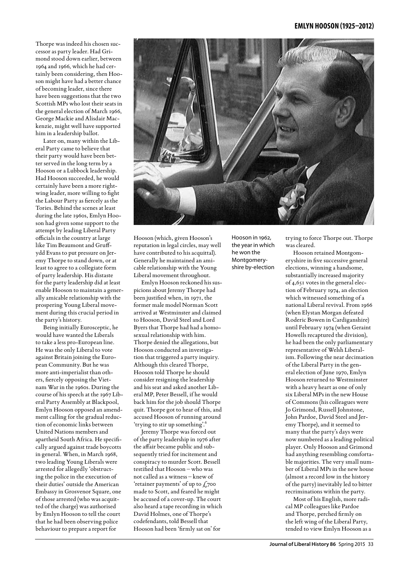Thorpe was indeed his chosen successor as party leader. Had Grimond stood down earlier, between 1964 and 1966, which he had certainly been considering, then Hooson might have had a better chance of becoming leader, since there have been suggestions that the two Scottish MPs who lost their seats in the general election of March 1966, George Mackie and Alisdair Mackenzie, might well have supported him in a leadership ballot.

Later on, many within the Liberal Party came to believe that their party would have been better served in the long term by a Hooson or a Lubbock leadership. Had Hooson succeeded, he would certainly have been a more rightwing leader, more willing to fight the Labour Party as fiercely as the Tories. Behind the scenes at least during the late 1960s, Emlyn Hooson had given some support to the attempt by leading Liberal Party officials in the country at large like Tim Beaumont and Gruffydd Evans to put pressure on Jeremy Thorpe to stand down, or at least to agree to a collegiate form of party leadership. His distaste for the party leadership did at least enable Hooson to maintain a generally amicable relationship with the prospering Young Liberal movement during this crucial period in the party's history.

Being initially Eurosceptic, he would have wanted the Liberals to take a less pro-European line. He was the only Liberal to vote against Britain joining the European Community. But he was more anti-imperialist than others, fiercely opposing the Vietnam War in the 1960s. During the course of his speech at the 1967 Liberal Party Assembly at Blackpool, Emlyn Hooson opposed an amendment calling for the gradual reduction of economic links between United Nations members and apartheid South Africa. He specifically argued against trade boycotts in general. When, in March 1968, two leading Young Liberals were arrested for allegedly 'obstructing the police in the execution of their duties' outside the American Embassy in Grosvenor Square, one of those arrested (who was acquitted of the charge) was authorised by Emlyn Hooson to tell the court that he had been observing police behaviour to prepare a report for



Hooson (which, given Hooson's reputation in legal circles, may well have contributed to his acquittal). Generally he maintained an amicable relationship with the Young Liberal movement throughout.

Emlyn Hooson reckoned his suspicions about Jeremy Thorpe had been justified when, in 1971, the former male model Norman Scott arrived at Westminster and claimed to Hooson, David Steel and Lord Byers that Thorpe had had a homosexual relationship with him. Thorpe denied the allegations, but Hooson conducted an investigation that triggered a party inquiry. Although this cleared Thorpe, Hooson told Thorpe he should consider resigning the leadership and his seat and asked another Liberal MP, Peter Bessell, if he would back him for the job should Thorpe quit. Thorpe got to hear of this, and accused Hooson of running around 'trying to stir up something'.<sup>6</sup>

Jeremy Thorpe was forced out of the party leadership in 1976 after the affair became public and subsequently tried for incitement and conspiracy to murder Scott. Bessell testified that Hooson – who was not called as a witness – knew of 'retainer payments' of up to  $\zeta$ 700 made to Scott, and feared he might be accused of a cover-up. The court also heard a tape recording in which David Holmes, one of Thorpe's codefendants, told Bessell that Hooson had been 'firmly sat on' for

Hooson in 1962, the year in which he won the Montgomeryshire by-election

trying to force Thorpe out. Thorpe was cleared.

Hooson retained Montgomeryshire in five successive general elections, winning a handsome, substantially increased majority of 4,651 votes in the general election of February 1974, an election which witnessed something of a national Liberal revival. From 1966 (when Elystan Morgan defeated Roderic Bowen in Cardiganshire) until February 1974 (when Geraint Howells recaptured the division), he had been the only parliamentary representative of Welsh Liberalism. Following the near decimation of the Liberal Party in the general election of June 1970, Emlyn Hooson returned to Westminster with a heavy heart as one of only six Liberal MPs in the new House of Commons (his colleagues were Jo Grimond, Russell Johnstone, John Pardoe, David Steel and Jeremy Thorpe), and it seemed to many that the party's days were now numbered as a leading political player. Only Hooson and Grimond had anything resembling comfortable majorities. The very small number of Liberal MPs in the new house (almost a record low in the history of the party) inevitably led to bitter recriminations within the party.

Most of his English, more radical MP colleagues like Pardoe and Thorpe, perched firmly on the left wing of the Liberal Party, tended to view Emlyn Hooson as a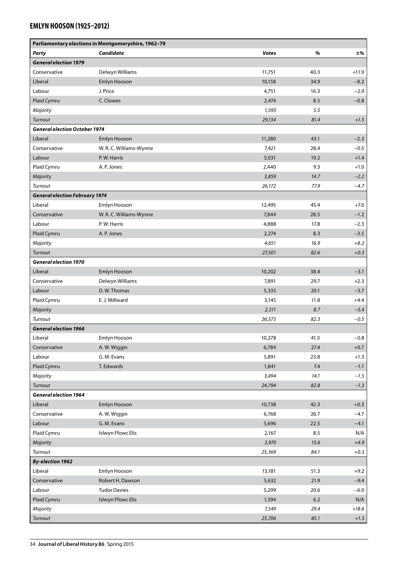| Parliamentary elections in Montgomeryshire, 1962-79 |                         |              |         |         |
|-----------------------------------------------------|-------------------------|--------------|---------|---------|
| Party                                               | Candidate               | <b>Votes</b> | %       | ±%      |
| <b>General election 1979</b>                        |                         |              |         |         |
| Conservative                                        | Delwyn Williams         | 11,751       | 40.3    | $+11.9$ |
| Liberal                                             | Emlyn Hooson            | 10,158       | 34.9    | $-8.2$  |
| Labour                                              | J. Price                | 4,751        | 16.3    | $-2.9$  |
| Plaid Cymru                                         | C. Clowes               | 2,474        | 8.5     | $-0.8$  |
| Majority                                            |                         | 1,593        | 5.5     |         |
| Turnout                                             |                         | 29,134       | 81.4    | $+1.5$  |
| <b>General election October 1974</b>                |                         |              |         |         |
| Liberal                                             | Emlyn Hooson            | 11,280       | 43.1    | $-2.3$  |
| Conservative                                        | W.R.C. Williams-Wynne   | 7,421        | 28.4    | $-0.5$  |
| Labour                                              | P.W. Harris             | 5,031        | 19.2    | $+1.4$  |
| Plaid Cymru                                         | A.P. Jones              | 2,440        | 9.3     | $+1.0$  |
| Majority                                            |                         | 3,859        | 14.7    | $-2.2$  |
| Turnout                                             |                         | 26,172       | 77.9    | $-4.7$  |
| <b>General election February 1974</b>               |                         |              |         |         |
| Liberal                                             | Emlyn Hooson            | 12,495       | 45.4    | $+7.0$  |
| Conservative                                        | W. R. C. Williams-Wynne | 7,844        | 28.5    | $-1.2$  |
| Labour                                              | P.W. Harris             | 4,888        | 17.8    | $-2.3$  |
| Plaid Cymru                                         | A.P. Jones              | 2,274        | 8.3     | $-3.5$  |
| Majority                                            |                         | 4,651        | 16.9    | $+8.2$  |
| Turnout                                             |                         | 27,501       | 82.6    | $+0.3$  |
| <b>General election 1970</b>                        |                         |              |         |         |
| Liberal                                             | Emlyn Hooson            | 10,202       | 38.4    | $-3.1$  |
| Conservative                                        | Delwyn Williams         | 7,891        | 29.7    | $+2.3$  |
| Labour                                              | D.W. Thomas             | 5,335        | 20.1    | $-3.7$  |
| Plaid Cymru                                         | E. J. Millward          | 3,145        | 11.8    | $+4.4$  |
| Majority                                            |                         | 2,311        | 8.7     | $-5.4$  |
| Turnout                                             |                         | 26,573       | 82.3    | $-0.5$  |
| <b>General election 1966</b>                        |                         |              |         |         |
| Liberal                                             | Emlyn Hooson            | 10,278       | 41.5    | $-0.8$  |
| Conservative                                        | A.W. Wiggin             | 6,784        | 27.4    | $+0.7$  |
| Labour                                              | G. M. Evans             | 5,891        | 23.8    | $+1.3$  |
| Plaid Cymru                                         | T. Edwards              | 1,841        | 7.4     | $-1.1$  |
| Majority                                            |                         | 3,494        | 14.1    | $-1.5$  |
| Turnout                                             |                         | 24,794       | 82.8    | $-1.3$  |
| <b>General election 1964</b>                        |                         |              |         |         |
| Liberal                                             | Emlyn Hooson            | 10,738       | 42.3    | $+0.3$  |
| Conservative                                        | A.W. Wiggin             | 6,768        | 26.7    | $-4.7$  |
| Labour                                              | G. M. Evans             | 5,696        | 22.5    | $-4.1$  |
| Plaid Cymru                                         | Islwyn Ffowc Elis       | 2,167        | 8.5     | N/A     |
| Majority                                            |                         | 3,970        | 15.6    | $+4.9$  |
| Turnout                                             |                         | 25,369       | 84.1    | $+0.3$  |
| <b>By-election 1962</b>                             |                         |              |         |         |
| Liberal                                             | Emlyn Hooson            | 13,181       | 51.3    | $+9.2$  |
| Conservative                                        | Robert H. Dawson        | 5,632        | 21.9    | $-9.4$  |
| Labour                                              | <b>Tudor Davies</b>     | 5,299        | 20.6    | $-6.0$  |
| Plaid Cymru                                         | Islwyn Ffowc Elis       | 1,594        | $6.2\,$ | N/A     |
| Majority                                            |                         | 7,549        | 29.4    | $+18.6$ |
| Turnout                                             |                         | 25,706       | 85.1    | $+1.3$  |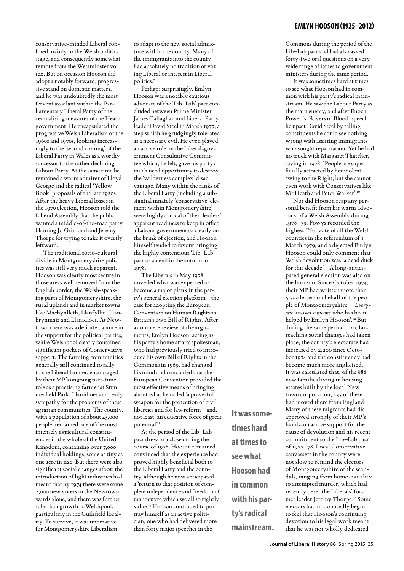conservative-minded Liberal confined mainly to the Welsh political stage, and consequently somewhat remote from the Westminster vortex. But on occasion Hooson did adopt a notably forward, progressive stand on domestic matters, and he was undoubtedly the most fervent assailant within the Parliamentary Liberal Party of the centralising measures of the Heath government. He encapsulated the progressive Welsh Liberalism of the 1960s and 1970s, looking increasingly to the 'second coming' of the Liberal Party in Wales as a worthy successor to the rather declining Labour Party. At the same time he remained a warm admirer of Lloyd George and the radical 'Yellow Book' proposals of the late 1920s. After the heavy Liberal losses in the 1970 election, Hooson told the Liberal Assembly that the public wanted a middle-of-the-road party, blaming Jo Grimond and Jeremy Thorpe for trying to take it overtly leftward.

The traditional socio-cultural divide in Montgomeryshire politics was still very much apparent. Hooson was clearly most secure in those areas well removed from the English border, the Welsh-speaking parts of Montgomeryshire, the rural uplands and in market towns like Machynlleth, Llanfyllin, Llanbrynmair and Llanidloes. At Newtown there was a delicate balance in the support for the political parties, while Welshpool clearly contained significant pockets of Conservative support. The farming communities generally still continued to rally to the Liberal banner, encouraged by their MP's ongoing part-time role as a practising farmer at Summerfield Park, Llanidloes and ready sympathy for the problems of these agrarian communities. The county, with a population of about 45,000 people, remained one of the most intensely agricultural constituencies in the whole of the United Kingdom, containing over 7,000 individual holdings, some as tiny as one acre in size. But there were also significant social changes afoot: the introduction of light industries had meant that by 1974 there were some 2,000 new voters in the Newtown wards alone, and there was further suburban growth at Welshpool, particularly in the Guilsfield locality. To survive, it was imperative for Montgomeryshire Liberalism

to adapt to the new social admixture within the county. Many of the immigrants into the county had absolutely no tradition of voting Liberal or interest in Liberal politics.7

Perhaps surprisingly, Emlyn Hooson was a notably cautious advocate of the 'Lib–Lab' pact concluded between Prime Minister James Callaghan and Liberal Party leader David Steel in March 1977, a step which he grudgingly tolerated as a necessary evil. He even played an active role on the Liberal-government Consultative Committee which, he felt, gave his party a much need opportunity to destroy the 'wilderness complex' disadvantage. Many within the ranks of the Liberal Party (including a substantial innately 'conservative' element within Montgomeryshire) were highly critical of their leaders' apparent readiness to keep in office a Labour government so clearly on the brink of ejection, and Hooson himself tended to favour bringing the highly contentious 'Lib–Lab' pact to an end in the autumn of 1978.

The Liberals in May 1978 unveiled what was expected to become a major plank in the party's general election platform – the case for adopting the European Convention on Human Rights as Britain's own Bill of Rights. After a complete review of the arguments, Emlyn Hooson, acting as his party's home affairs spokesman, who had previously tried to introduce his own Bill of Rights in the Commons in 1969, had changed his mind and concluded that the European Convention provided the most effective means of bringing about what he called 'a powerful weapon for the protection of civil liberties and for law reform – and, not least, an educative force of great potential'.8

As the period of the Lib–Lab pact drew to a close during the course of 1978, Hooson remained convinced that the experience had proved highly beneficial both to the Liberal Party and the country, although he now anticipated a 'return to that position of complete independence and freedom of manoeuvre which we all so rightly value'.9 Hooson continued to portray himself as an active politician, one who had delivered more than forty major speeches in the

**It was sometimes hard at times to see what Hooson had in common with his party's radical mainstream.** Commons during the period of the Lib–Lab pact and had also asked forty-two oral questions on a very wide range of issues to government ministers during the same period.

It was sometimes hard at times to see what Hooson had in common with his party's radical mainstream. He saw the Labour Party as the main enemy, and after Enoch Powell's 'Rivers of Blood' speech, he upset David Steel by telling constituents he could see nothing wrong with assisting immigrants who sought repatriation. Yet he had no truck with Margaret Thatcher, saying in 1978: 'People are superficially attracted by her violent swing to the Right, but she cannot even work with Conservatives like Mr Heath and Peter Walker'.10

Nor did Hooson reap any personal benefit from his warm advocacy of a Welsh Assembly during 1978–79. Powys recorded the highest 'No' vote of all the Welsh counties in the referendum of 1 March 1979, and a dejected Emlyn Hooson could only comment that Welsh devolution was 'a dead duck for this decade'.<sup>11</sup> A long-anticipated general election was also on the horizon. Since October 1974, their MP had written more than 5,500 letters on behalf of the people of Montgomeryshire – '*Everyone* knows *someone* who has been helped by Emlyn Hooson'.12 But during the same period, too, farreaching social changes had taken place, the county's electorate had increased by 2,200 since October 1974 and the constituency had become much more anglicised. It was calculated that, of the 888 new families living in housing estates built by the local Newtown corporation, 435 of these had moved there from England. Many of these migrants had disapproved strongly of their MP's hands-on active support for the cause of devolution and his recent commitment to the Lib–Lab pact of 1977–78. Local Conservative canvassers in the county were not slow to remind the electors of Montgomeryshire of the scandals, ranging from homosexuality to attempted murder, which had recently beset the Liberals' former leader Jeremy Thorpe.13 Some electors had undoubtedly begun to feel that Hooson's continuing devotion to his legal work meant that he was not wholly dedicated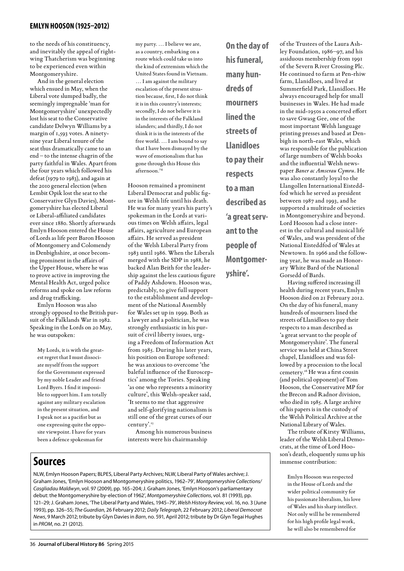to the needs of his constituency, and inevitably the appeal of rightwing Thatcherism was beginning to be experienced even within Montgomeryshire.

And in the general election which ensued in May, when the Liberal vote slumped badly, the seemingly impregnable 'man for Montgomeryshire' unexpectedly lost his seat to the Conservative candidate Delwyn Williams by a margin of 1,593 votes. A ninetynine year Liberal tenure of the seat thus dramatically came to an end – to the intense chagrin of the party faithful in Wales. Apart from the four years which followed his defeat (1979 to 1983), and again at the 2010 general election (when Lembit Opik lost the seat to the Conservative Glyn Davies), Montgomeryshire has elected Liberal or Liberal-affiliated candidates ever since 1880. Shortly afterwards Emlyn Hooson entered the House of Lords as life peer Baron Hooson of Montgomery and Colomendy in Denbighshire, at once becoming prominent in the affairs of the Upper House, where he was to prove active in improving the Mental Health Act, urged police reforms and spoke on law reform and drug trafficking.

Emlyn Hooson was also strongly opposed to the British pursuit of the Falklands War in 1982. Speaking in the Lords on 20 May, he was outspoken:

My Lords, it is with the greatest regret that I must dissociate myself from the support for the Government expressed by my noble Leader and friend Lord Byers. I find it impossible to support him. I am totally against any military escalation in the present situation, and I speak not as a pacifist but as one expressing quite the opposite viewpoint. I have for years been a defence spokesman for

**Sources**

my party. … I believe we are, as a country, embarking on a route which could take us into the kind of extremism which the United States found in Vietnam. … I am against the military escalation of the present situation because, first, I do not think it is in this country's interests; secondly, I do not believe it is in the interests of the Falkland islanders; and thirdly, I do not think it is in the interests of the free world. … I am bound to say that I have been dismayed by the wave of emotionalism that has gone through this House this afternoon.14

Hooson remained a prominent Liberal Democrat and public figure in Welsh life until his death. He was for many years his party's spokesman in the Lords at various times on Welsh affairs, legal affairs, agriculture and European affairs. He served as president of the Welsh Liberal Party from 1983 until 1986. When the Liberals merged with the SDP in 1988, he backed Alan Beith for the leadership against the less cautious figure of Paddy Ashdown. Hooson was, predictably, to give full support to the establishment and development of the National Assembly for Wales set up in 1999. Both as a lawyer and a politician, he was strongly enthusiastic in his pursuit of civil liberty issues, urging a Freedom of Information Act from 1985. During his later years, his position on Europe softened: he was anxious to overcome 'the baleful influence of the Eurosceptics' among the Tories. Speaking 'as one who represents a minority culture', this Welsh-speaker said, 'It seems to me that aggressive and self-glorifying nationalism is still one of the great curses of our century'.15

Among his numerous business interests were his chairmanship

NLW, Emlyn Hooson Papers; BLPES, Liberal Party Archives; NLW, Liberal Party of Wales archive; J. Graham Jones, 'Emlyn Hooson and Montgomeryshire politics, 1962–79', *Montgomeryshire Collections/ Casgliadau Maldwyn*, vol. 97 (2009), pp. 165–204; J. Graham Jones, 'Emlyn Hooson's parliamentary debut: the Montgomeryshire by-election of 1962', *Montgomeryshire Collections*, vol. 81 (1993), pp. 121–29; J. Graham Jones, 'The Liberal Party and Wales, 1945–79', *Welsh History Review*, vol. 16, no. 3 (June 1993), pp. 326–55; *The Guardian*, 26 February 2012; *Daily Telegraph*, 22 February 2012; *Liberal Democrat News*, 9 March 2012; tribute by Glyn Davies in *Barn*, no. 591, April 2012; tribute by Dr Glyn Tegai Hughes in *PROM*, no. 21 (2012).

**On the day of his funeral, many hundreds of mourners lined the streets of Llanidloes to pay their respects to a man described as 'a great servant to the people of Montgomeryshire'.**

of the Trustees of the Laura Ashley Foundation, 1986–97, and his assiduous membership from 1991 of the Severn River Crossing Plc. He continued to farm at Pen-rhiw farm, Llanidloes, and lived at Summerfield Park, Llanidloes. He always encouraged help for small businesses in Wales. He had made in the mid-1950s a concerted effort to save Gwasg Gee, one of the most important Welsh language printing presses and based at Denbigh in north-east Wales, which was responsible for the publication of large numbers of Welsh books and the influential Welsh newspaper *Baner ac Amserau Cymru*. He was also constantly loyal to the Llangollen International Eisteddfod which he served as president between 1987 and 1993, and he supported a multitude of societies in Montgomeryshire and beyond. Lord Hooson had a close interest in the cultural and musical life of Wales, and was president of the National Eisteddfod of Wales at Newtown. In 1966 and the following year, he was made an Honorary White Bard of the National Gorsedd of Bards.

Having suffered increasing ill health during recent years, Emlyn Hooson died on 21 February 2012. On the day of his funeral, many hundreds of mourners lined the streets of Llanidloes to pay their respects to a man described as 'a great servant to the people of Montgomeryshire'. The funeral service was held at China Street chapel, Llanidloes and was followed by a procession to the local cemetery.16 He was a first cousin (and political opponent) of Tom Hooson, the Conservative MP for the Brecon and Radnor division, who died in 1985. A large archive of his papers is in the custody of the Welsh Political Archive at the National Library of Wales.

The tribute of Kirsty Williams, leader of the Welsh Liberal Democrats, at the time of Lord Hooson's death, eloquently sums up his immense contribution:

Emlyn Hooson was respected in the House of Lords and the wider political community for his passionate liberalism, his love of Wales and his sharp intellect. Not only will he be remembered for his high profile legal work, he will also be remembered for